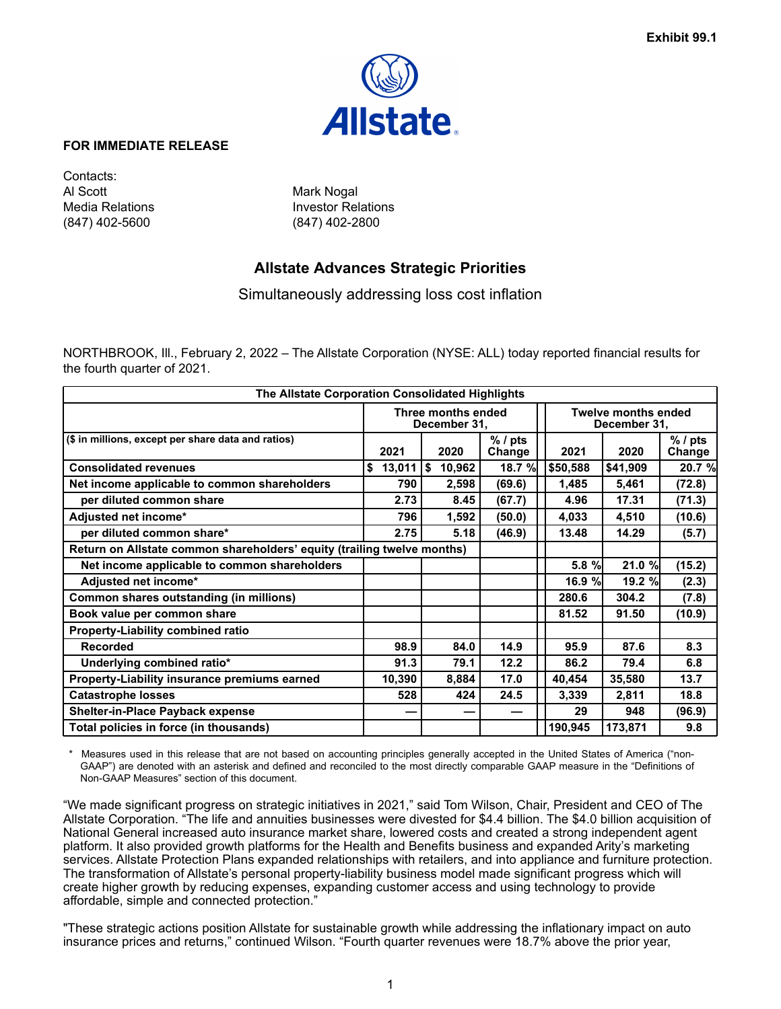

## **FOR IMMEDIATE RELEASE**

Contacts: Al Scott Mark Nogal (847) 402-5600 (847) 402-2800

Media Relations **Investor Relations** 

# **Allstate Advances Strategic Priorities**

Simultaneously addressing loss cost inflation

NORTHBROOK, Ill., February 2, 2022 – The Allstate Corporation (NYSE: ALL) today reported financial results for the fourth quarter of 2021.

| The Allstate Corporation Consolidated Highlights                        |              |                                    |                     |          |                                            |                     |  |  |  |
|-------------------------------------------------------------------------|--------------|------------------------------------|---------------------|----------|--------------------------------------------|---------------------|--|--|--|
|                                                                         |              | Three months ended<br>December 31, |                     |          | <b>Twelve months ended</b><br>December 31, |                     |  |  |  |
| (\$ in millions, except per share data and ratios)                      | 2021         | 2020                               | $%$ / pts<br>Change | 2021     | 2020                                       | $%$ / pts<br>Change |  |  |  |
| <b>Consolidated revenues</b>                                            | \$<br>13,011 | $\sqrt{5}$<br>10,962               | 18.7 %              | \$50,588 | \$41,909                                   | 20.7 %              |  |  |  |
| Net income applicable to common shareholders                            | 790          | 2,598                              | (69.6)              | 1,485    | 5,461                                      | (72.8)              |  |  |  |
| per diluted common share                                                | 2.73         | 8.45                               | (67.7)              | 4.96     | 17.31                                      | (71.3)              |  |  |  |
| Adjusted net income*                                                    | 796          | 1,592                              | (50.0)              | 4,033    | 4,510                                      | (10.6)              |  |  |  |
| per diluted common share*                                               | 2.75         | 5.18                               | (46.9)              | 13.48    | 14.29                                      | (5.7)               |  |  |  |
| Return on Allstate common shareholders' equity (trailing twelve months) |              |                                    |                     |          |                                            |                     |  |  |  |
| Net income applicable to common shareholders                            |              |                                    |                     | $5.8 \%$ | 21.0 %                                     | (15.2)              |  |  |  |
| Adjusted net income*                                                    |              |                                    |                     | 16.9%    | 19.2%                                      | (2.3)               |  |  |  |
| Common shares outstanding (in millions)                                 |              |                                    |                     | 280.6    | 304.2                                      | (7.8)               |  |  |  |
| Book value per common share                                             |              |                                    |                     | 81.52    | 91.50                                      | (10.9)              |  |  |  |
| <b>Property-Liability combined ratio</b>                                |              |                                    |                     |          |                                            |                     |  |  |  |
| <b>Recorded</b>                                                         | 98.9         | 84.0                               | 14.9                | 95.9     | 87.6                                       | 8.3                 |  |  |  |
| Underlying combined ratio*                                              | 91.3         | 79.1                               | 12.2                | 86.2     | 79.4                                       | 6.8                 |  |  |  |
| Property-Liability insurance premiums earned                            | 10,390       | 8,884                              | 17.0                | 40,454   | 35,580                                     | 13.7                |  |  |  |
| <b>Catastrophe losses</b>                                               | 528          | 424                                | 24.5                | 3,339    | 2,811                                      | 18.8                |  |  |  |
| <b>Shelter-in-Place Payback expense</b>                                 |              |                                    |                     | 29       | 948                                        | (96.9)              |  |  |  |
| Total policies in force (in thousands)                                  |              |                                    |                     | 190,945  | 173,871                                    | 9.8                 |  |  |  |

Measures used in this release that are not based on accounting principles generally accepted in the United States of America ("non-GAAP") are denoted with an asterisk and defined and reconciled to the most directly comparable GAAP measure in the "Definitions of Non-GAAP Measures" section of this document.

"We made significant progress on strategic initiatives in 2021," said Tom Wilson, Chair, President and CEO of The Allstate Corporation. "The life and annuities businesses were divested for \$4.4 billion. The \$4.0 billion acquisition of National General increased auto insurance market share, lowered costs and created a strong independent agent platform. It also provided growth platforms for the Health and Benefits business and expanded Arity's marketing services. Allstate Protection Plans expanded relationships with retailers, and into appliance and furniture protection. The transformation of Allstate's personal property-liability business model made significant progress which will create higher growth by reducing expenses, expanding customer access and using technology to provide affordable, simple and connected protection."

"These strategic actions position Allstate for sustainable growth while addressing the inflationary impact on auto insurance prices and returns," continued Wilson. "Fourth quarter revenues were 18.7% above the prior year,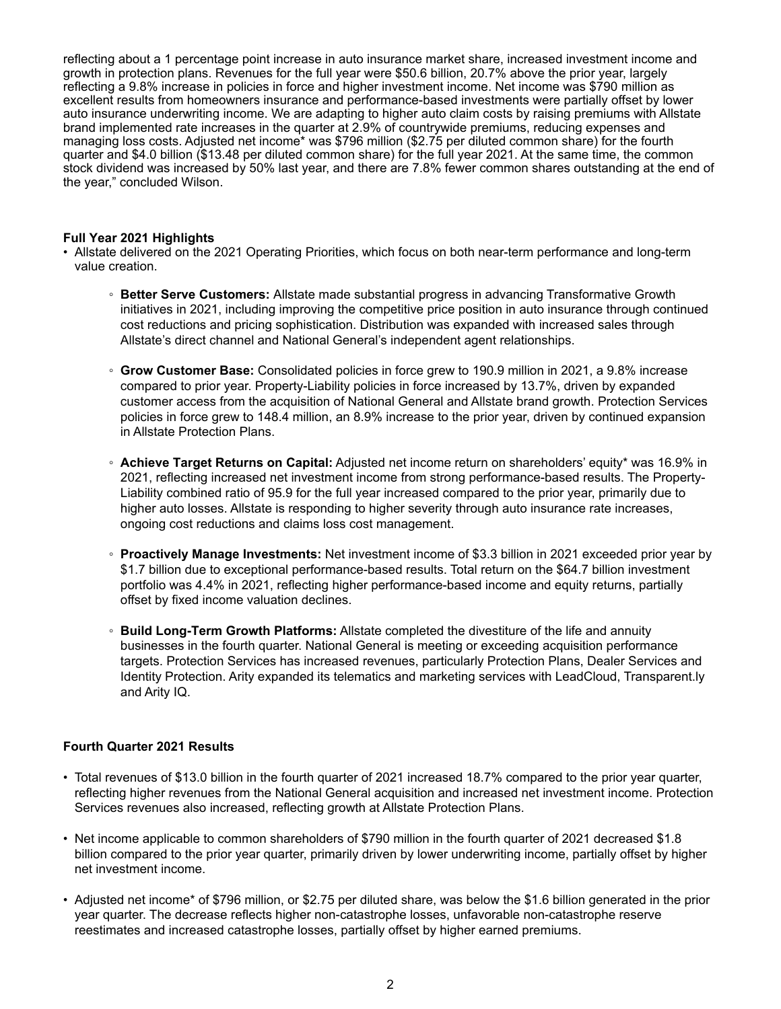reflecting about a 1 percentage point increase in auto insurance market share, increased investment income and growth in protection plans. Revenues for the full year were \$50.6 billion, 20.7% above the prior year, largely reflecting a 9.8% increase in policies in force and higher investment income. Net income was \$790 million as excellent results from homeowners insurance and performance-based investments were partially offset by lower auto insurance underwriting income. We are adapting to higher auto claim costs by raising premiums with Allstate brand implemented rate increases in the quarter at 2.9% of countrywide premiums, reducing expenses and managing loss costs. Adjusted net income\* was \$796 million (\$2.75 per diluted common share) for the fourth quarter and \$4.0 billion (\$13.48 per diluted common share) for the full year 2021. At the same time, the common stock dividend was increased by 50% last year, and there are 7.8% fewer common shares outstanding at the end of the year," concluded Wilson.

## **Full Year 2021 Highlights**

- Allstate delivered on the 2021 Operating Priorities, which focus on both near-term performance and long-term value creation.
	- **Better Serve Customers:** Allstate made substantial progress in advancing Transformative Growth initiatives in 2021, including improving the competitive price position in auto insurance through continued cost reductions and pricing sophistication. Distribution was expanded with increased sales through Allstate's direct channel and National General's independent agent relationships.
	- **Grow Customer Base:** Consolidated policies in force grew to 190.9 million in 2021, a 9.8% increase compared to prior year. Property-Liability policies in force increased by 13.7%, driven by expanded customer access from the acquisition of National General and Allstate brand growth. Protection Services policies in force grew to 148.4 million, an 8.9% increase to the prior year, driven by continued expansion in Allstate Protection Plans.
	- **Achieve Target Returns on Capital:** Adjusted net income return on shareholders' equity\* was 16.9% in 2021, reflecting increased net investment income from strong performance-based results. The Property-Liability combined ratio of 95.9 for the full year increased compared to the prior year, primarily due to higher auto losses. Allstate is responding to higher severity through auto insurance rate increases, ongoing cost reductions and claims loss cost management.
	- **Proactively Manage Investments:** Net investment income of \$3.3 billion in 2021 exceeded prior year by \$1.7 billion due to exceptional performance-based results. Total return on the \$64.7 billion investment portfolio was 4.4% in 2021, reflecting higher performance-based income and equity returns, partially offset by fixed income valuation declines.
	- **Build Long-Term Growth Platforms:** Allstate completed the divestiture of the life and annuity businesses in the fourth quarter. National General is meeting or exceeding acquisition performance targets. Protection Services has increased revenues, particularly Protection Plans, Dealer Services and Identity Protection. Arity expanded its telematics and marketing services with LeadCloud, Transparent.ly and Arity IQ.

## **Fourth Quarter 2021 Results**

- Total revenues of \$13.0 billion in the fourth quarter of 2021 increased 18.7% compared to the prior year quarter, reflecting higher revenues from the National General acquisition and increased net investment income. Protection Services revenues also increased, reflecting growth at Allstate Protection Plans.
- Net income applicable to common shareholders of \$790 million in the fourth quarter of 2021 decreased \$1.8 billion compared to the prior year quarter, primarily driven by lower underwriting income, partially offset by higher net investment income.
- Adjusted net income\* of \$796 million, or \$2.75 per diluted share, was below the \$1.6 billion generated in the prior year quarter. The decrease reflects higher non-catastrophe losses, unfavorable non-catastrophe reserve reestimates and increased catastrophe losses, partially offset by higher earned premiums.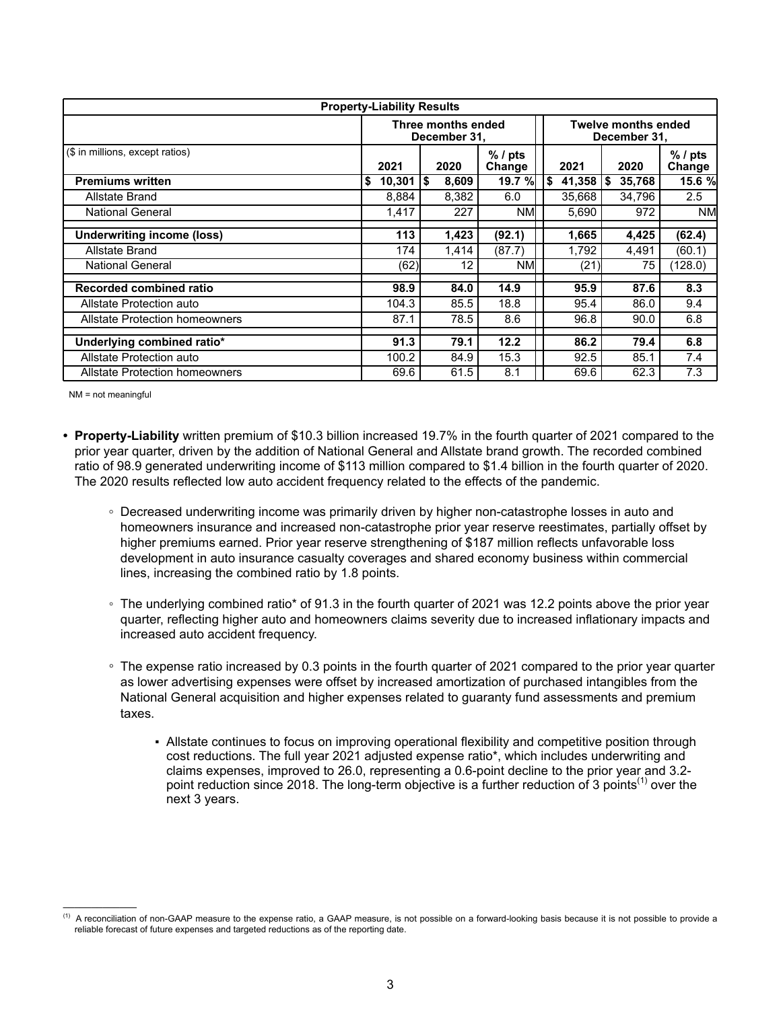| <b>Property-Liability Results</b>     |               |                                    |                     |     |                                            |               |                     |  |  |  |
|---------------------------------------|---------------|------------------------------------|---------------------|-----|--------------------------------------------|---------------|---------------------|--|--|--|
|                                       |               | Three months ended<br>December 31, |                     |     | <b>Twelve months ended</b><br>December 31, |               |                     |  |  |  |
| (\$ in millions, except ratios)       | 2021          | 2020                               | $%$ / pts<br>Change |     | 2021                                       | 2020          | $%$ / pts<br>Change |  |  |  |
| <b>Premiums written</b>               | 10,301<br>Ι\$ | l\$<br>8,609                       | 19.7 %l             | 1\$ | 41,358                                     | 35,768<br>SS. | 15.6 %              |  |  |  |
| Allstate Brand                        | 8,884         | 8,382                              | 6.0                 |     | 35,668                                     | 34,796        | 2.5                 |  |  |  |
| <b>National General</b>               | 1,417         |                                    | 227<br>NMI          |     | 5,690                                      | 972           | <b>NMI</b>          |  |  |  |
| <b>Underwriting income (loss)</b>     | 113           | 1,423                              | (92.1)              |     | 1,665                                      | 4,425         | (62.4)              |  |  |  |
| Allstate Brand                        | 174           | 1,414                              | (87.7)              |     | 1,792                                      | 4,491         | (60.1)              |  |  |  |
| <b>National General</b>               | (62)          |                                    | 12<br><b>NM</b>     |     | (21)                                       | 75            | (128.0)             |  |  |  |
| Recorded combined ratio               | 98.9          | 84.0                               | 14.9                |     | 95.9                                       | 87.6          | 8.3                 |  |  |  |
| Allstate Protection auto              | 104.3         | 85.5                               | 18.8                |     | 95.4                                       | 86.0          | 9.4                 |  |  |  |
| <b>Allstate Protection homeowners</b> | 87.1          | 78.5                               | 8.6                 |     | 96.8                                       | 90.0          | 6.8                 |  |  |  |
| Underlying combined ratio*            | 91.3          | 79.1                               | 12.2                |     | 86.2                                       | 79.4          | 6.8                 |  |  |  |
| Allstate Protection auto              | 100.2         | 84.9                               | 15.3                |     | 92.5                                       | 85.1          | 7.4                 |  |  |  |
| <b>Allstate Protection homeowners</b> | 69.6          | 61.5                               | 8.1                 |     | 69.6                                       | 62.3          | 7.3                 |  |  |  |

NM = not meaningful

 $\mathcal{L}_\text{max}$  and  $\mathcal{L}_\text{max}$ 

- **• Property-Liability** written premium of \$10.3 billion increased 19.7% in the fourth quarter of 2021 compared to the prior year quarter, driven by the addition of National General and Allstate brand growth. The recorded combined ratio of 98.9 generated underwriting income of \$113 million compared to \$1.4 billion in the fourth quarter of 2020. The 2020 results reflected low auto accident frequency related to the effects of the pandemic.
	- **◦** Decreased underwriting income was primarily driven by higher non-catastrophe losses in auto and homeowners insurance and increased non-catastrophe prior year reserve reestimates, partially offset by higher premiums earned. Prior year reserve strengthening of \$187 million reflects unfavorable loss development in auto insurance casualty coverages and shared economy business within commercial lines, increasing the combined ratio by 1.8 points.
	- The underlying combined ratio\* of 91.3 in the fourth quarter of 2021 was 12.2 points above the prior year quarter, reflecting higher auto and homeowners claims severity due to increased inflationary impacts and increased auto accident frequency.
	- The expense ratio increased by 0.3 points in the fourth quarter of 2021 compared to the prior year quarter as lower advertising expenses were offset by increased amortization of purchased intangibles from the National General acquisition and higher expenses related to guaranty fund assessments and premium taxes.
		- Allstate continues to focus on improving operational flexibility and competitive position through cost reductions. The full year 2021 adjusted expense ratio\*, which includes underwriting and claims expenses, improved to 26.0, representing a 0.6-point decline to the prior year and 3.2 point reduction since 2018. The long-term objective is a further reduction of 3 points<sup>(1)</sup> over the next 3 years.

 $<sup>(1)</sup>$  A reconciliation of non-GAAP measure to the expense ratio, a GAAP measure, is not possible on a forward-looking basis because it is not possible to provide a</sup> reliable forecast of future expenses and targeted reductions as of the reporting date.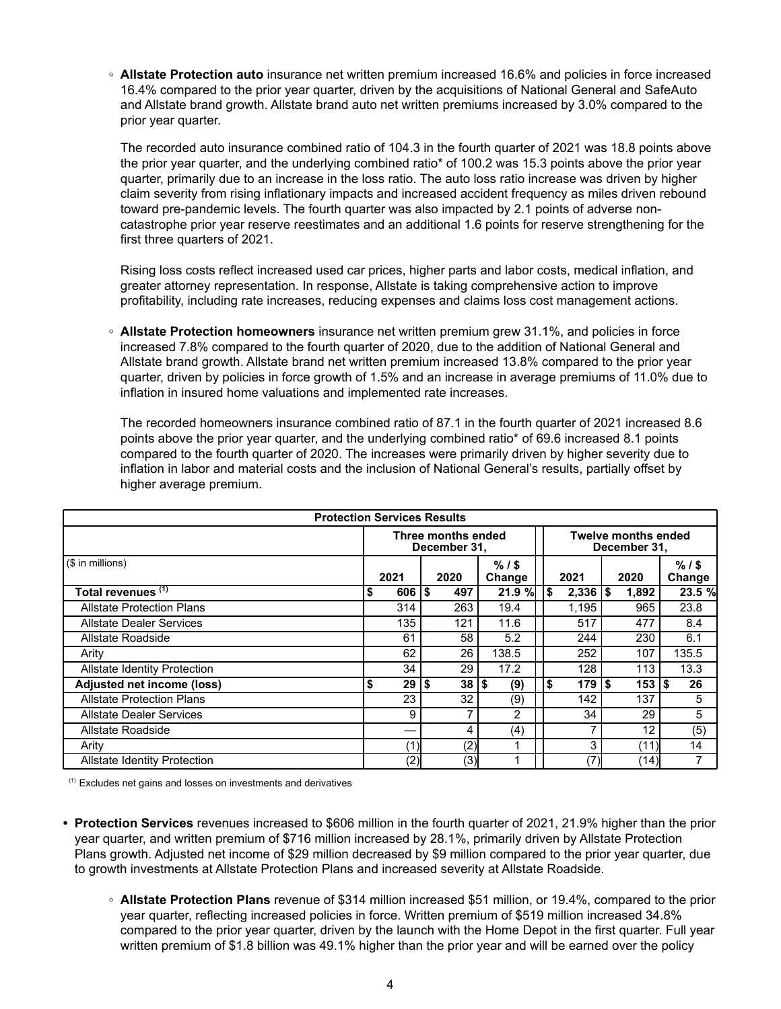**◦ Allstate Protection auto** insurance net written premium increased 16.6% and policies in force increased 16.4% compared to the prior year quarter, driven by the acquisitions of National General and SafeAuto and Allstate brand growth. Allstate brand auto net written premiums increased by 3.0% compared to the prior year quarter.

The recorded auto insurance combined ratio of 104.3 in the fourth quarter of 2021 was 18.8 points above the prior year quarter, and the underlying combined ratio\* of 100.2 was 15.3 points above the prior year quarter, primarily due to an increase in the loss ratio. The auto loss ratio increase was driven by higher claim severity from rising inflationary impacts and increased accident frequency as miles driven rebound toward pre-pandemic levels. The fourth quarter was also impacted by 2.1 points of adverse noncatastrophe prior year reserve reestimates and an additional 1.6 points for reserve strengthening for the first three quarters of 2021.

Rising loss costs reflect increased used car prices, higher parts and labor costs, medical inflation, and greater attorney representation. In response, Allstate is taking comprehensive action to improve profitability, including rate increases, reducing expenses and claims loss cost management actions.

**◦ Allstate Protection homeowners** insurance net written premium grew 31.1%, and policies in force increased 7.8% compared to the fourth quarter of 2020, due to the addition of National General and Allstate brand growth. Allstate brand net written premium increased 13.8% compared to the prior year quarter, driven by policies in force growth of 1.5% and an increase in average premiums of 11.0% due to inflation in insured home valuations and implemented rate increases.

The recorded homeowners insurance combined ratio of 87.1 in the fourth quarter of 2021 increased 8.6 points above the prior year quarter, and the underlying combined ratio\* of 69.6 increased 8.1 points compared to the fourth quarter of 2020. The increases were primarily driven by higher severity due to inflation in labor and material costs and the inclusion of National General's results, partially offset by higher average premium.

|                                     | <b>Protection Services Results</b> |            |            |                                    |                   |     |                           |                                            |       |                   |  |
|-------------------------------------|------------------------------------|------------|------------|------------------------------------|-------------------|-----|---------------------------|--------------------------------------------|-------|-------------------|--|
|                                     |                                    |            |            | Three months ended<br>December 31, |                   |     |                           | <b>Twelve months ended</b><br>December 31, |       |                   |  |
| (\$ in millions)                    |                                    | 2021       |            | 2020                               | $%1$ \$<br>Change |     | 2021                      |                                            | 2020  | $%1$ \$<br>Change |  |
| Total revenues <sup>(1)</sup>       | \$                                 | $606$   \$ |            | 497                                | 21.9%             | l\$ | $2,336$   \$              |                                            | 1,892 | 23.5 %            |  |
| <b>Allstate Protection Plans</b>    |                                    | 314        |            | 263                                | 19.4              |     | 1,195                     |                                            | 965   | 23.8              |  |
| <b>Allstate Dealer Services</b>     |                                    | 135        |            | 121                                | 11.6              |     | 517                       |                                            | 477   | 8.4               |  |
| Allstate Roadside                   |                                    | 61         |            | 58                                 | 5.2               |     | 244                       |                                            | 230   | 6.1               |  |
| Arity                               |                                    | 62         |            | 26                                 | 138.5             |     | 252                       |                                            | 107   | 135.5             |  |
| <b>Allstate Identity Protection</b> |                                    | 34         |            | 29                                 | 17.2              |     | 128                       |                                            | 113   | 13.3              |  |
| Adjusted net income (loss)          |                                    | 29         | $\sqrt{5}$ | $38 $ \$                           | (9)               |     | \$<br>$179$ $\frac{1}{3}$ |                                            | 153 S | 26                |  |
| <b>Allstate Protection Plans</b>    |                                    | 23         |            | 32                                 | (9)               |     | 142                       |                                            | 137   | 5                 |  |
| <b>Allstate Dealer Services</b>     |                                    | 9          |            |                                    | 2                 |     | 34                        |                                            | 29    | 5                 |  |
| Allstate Roadside                   |                                    |            |            | 4                                  | (4)               |     | 7                         |                                            | 12    | (5)               |  |
| Arity                               |                                    | (1)        |            | (2)                                |                   |     | 3                         |                                            | (11)  | 14                |  |
| <b>Allstate Identity Protection</b> |                                    | (2)        |            | (3)                                |                   |     | (7)                       |                                            | (14)  | 7                 |  |

(1) Excludes net gains and losses on investments and derivatives

- **• Protection Services** revenues increased to \$606 million in the fourth quarter of 2021, 21.9% higher than the prior year quarter, and written premium of \$716 million increased by 28.1%, primarily driven by Allstate Protection Plans growth. Adjusted net income of \$29 million decreased by \$9 million compared to the prior year quarter, due to growth investments at Allstate Protection Plans and increased severity at Allstate Roadside.
	- **◦ Allstate Protection Plans** revenue of \$314 million increased \$51 million, or 19.4%, compared to the prior year quarter, reflecting increased policies in force. Written premium of \$519 million increased 34.8% compared to the prior year quarter, driven by the launch with the Home Depot in the first quarter. Full year written premium of \$1.8 billion was 49.1% higher than the prior year and will be earned over the policy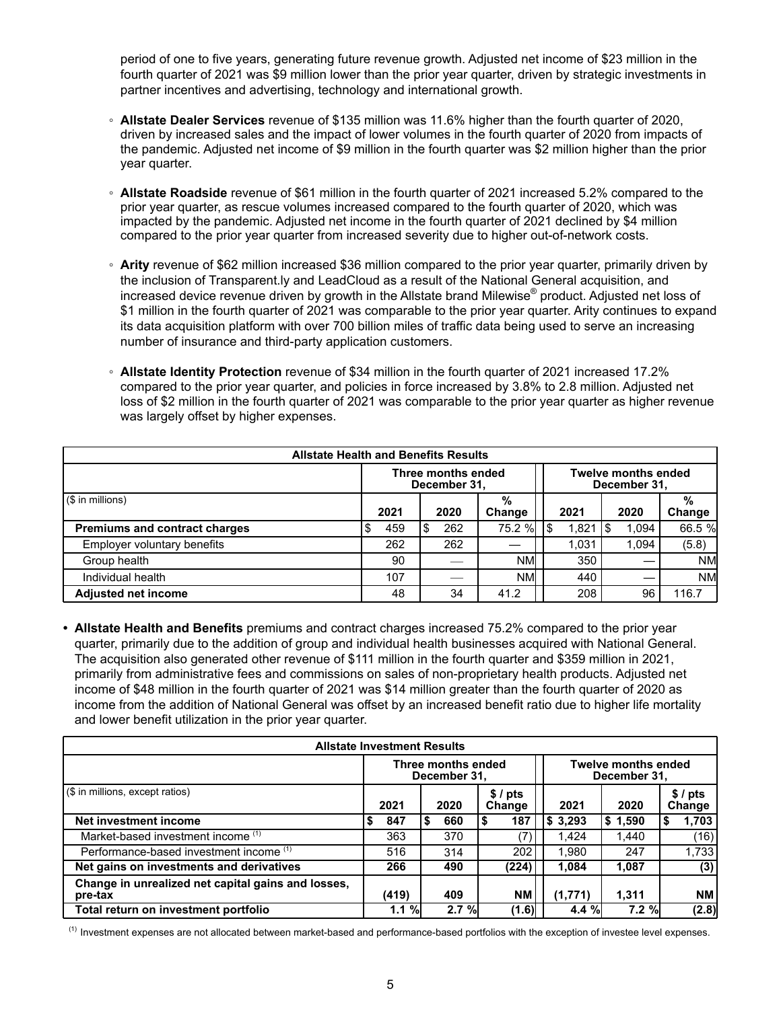period of one to five years, generating future revenue growth. Adjusted net income of \$23 million in the fourth quarter of 2021 was \$9 million lower than the prior year quarter, driven by strategic investments in partner incentives and advertising, technology and international growth.

- **Allstate Dealer Services** revenue of \$135 million was 11.6% higher than the fourth quarter of 2020, driven by increased sales and the impact of lower volumes in the fourth quarter of 2020 from impacts of the pandemic. Adjusted net income of \$9 million in the fourth quarter was \$2 million higher than the prior year quarter.
- **Allstate Roadside** revenue of \$61 million in the fourth quarter of 2021 increased 5.2% compared to the prior year quarter, as rescue volumes increased compared to the fourth quarter of 2020, which was impacted by the pandemic. Adjusted net income in the fourth quarter of 2021 declined by \$4 million compared to the prior year quarter from increased severity due to higher out-of-network costs.
- **Arity** revenue of \$62 million increased \$36 million compared to the prior year quarter, primarily driven by the inclusion of Transparent.ly and LeadCloud as a result of the National General acquisition, and increased device revenue driven by growth in the Allstate brand Milewise® product. Adjusted net loss of \$1 million in the fourth quarter of 2021 was comparable to the prior year quarter. Arity continues to expand its data acquisition platform with over 700 billion miles of traffic data being used to serve an increasing number of insurance and third-party application customers.
- **Allstate Identity Protection** revenue of \$34 million in the fourth quarter of 2021 increased 17.2% compared to the prior year quarter, and policies in force increased by 3.8% to 2.8 million. Adjusted net loss of \$2 million in the fourth quarter of 2021 was comparable to the prior year quarter as higher revenue was largely offset by higher expenses.

| <b>Allstate Health and Benefits Results</b> |      |                                    |             |       |                                            |             |  |  |
|---------------------------------------------|------|------------------------------------|-------------|-------|--------------------------------------------|-------------|--|--|
|                                             |      | Three months ended<br>December 31, |             |       | <b>Twelve months ended</b><br>December 31, |             |  |  |
| $($ \$ in millions)                         | 2021 | 2020                               | %<br>Change | 2021  | 2020                                       | %<br>Change |  |  |
| <b>Premiums and contract charges</b>        | 459  | 262                                | 75.2 %      | 1,821 | 1,094                                      | 66.5 %      |  |  |
| Employer voluntary benefits                 | 262  | 262                                |             | 1.031 | 1.094                                      | (5.8)       |  |  |
| Group health                                | 90   |                                    | <b>NMI</b>  | 350   |                                            | <b>NM</b>   |  |  |
| Individual health                           | 107  |                                    | <b>NM</b>   | 440   |                                            | <b>NM</b>   |  |  |
| <b>Adjusted net income</b>                  | 48   | 34                                 | 41.2        | 208   | 96                                         | 116.7       |  |  |

**• Allstate Health and Benefits** premiums and contract charges increased 75.2% compared to the prior year quarter, primarily due to the addition of group and individual health businesses acquired with National General. The acquisition also generated other revenue of \$111 million in the fourth quarter and \$359 million in 2021, primarily from administrative fees and commissions on sales of non-proprietary health products. Adjusted net income of \$48 million in the fourth quarter of 2021 was \$14 million greater than the fourth quarter of 2020 as income from the addition of National General was offset by an increased benefit ratio due to higher life mortality and lower benefit utilization in the prior year quarter.

| <b>Allstate Investment Results</b>                            |                                                                                  |      |                  |         |          |                  |  |  |  |
|---------------------------------------------------------------|----------------------------------------------------------------------------------|------|------------------|---------|----------|------------------|--|--|--|
|                                                               | Three months ended<br><b>Twelve months ended</b><br>December 31,<br>December 31, |      |                  |         |          |                  |  |  |  |
| (\$ in millions, except ratios)                               | 2021                                                                             | 2020 | \$/pts<br>Change | 2021    | 2020     | \$/pts<br>Change |  |  |  |
| Net investment income                                         | 847                                                                              | 660  | 187              | \$3,293 | \$1,590  | 1,703            |  |  |  |
| Market-based investment income (1)                            | 363                                                                              | 370  |                  | 1.424   | 1.440    | (16)             |  |  |  |
| Performance-based investment income (1)                       | 516                                                                              | 314  | 202              | 1.980   | 247      | 1,733            |  |  |  |
| Net gains on investments and derivatives                      | 266                                                                              | 490  | (224)            | 1.084   | 1,087    | (3)              |  |  |  |
| Change in unrealized net capital gains and losses.<br>pre-tax | (419)                                                                            | 409  | NΜ               | (1,771) | 1.311    | <b>NM</b>        |  |  |  |
| Total return on investment portfolio                          | 1.1%                                                                             | 2.7% | (1.6)            | 4.4%    | $7.2 \%$ | (2.8)            |  |  |  |

<sup>(1)</sup> Investment expenses are not allocated between market-based and performance-based portfolios with the exception of investee level expenses.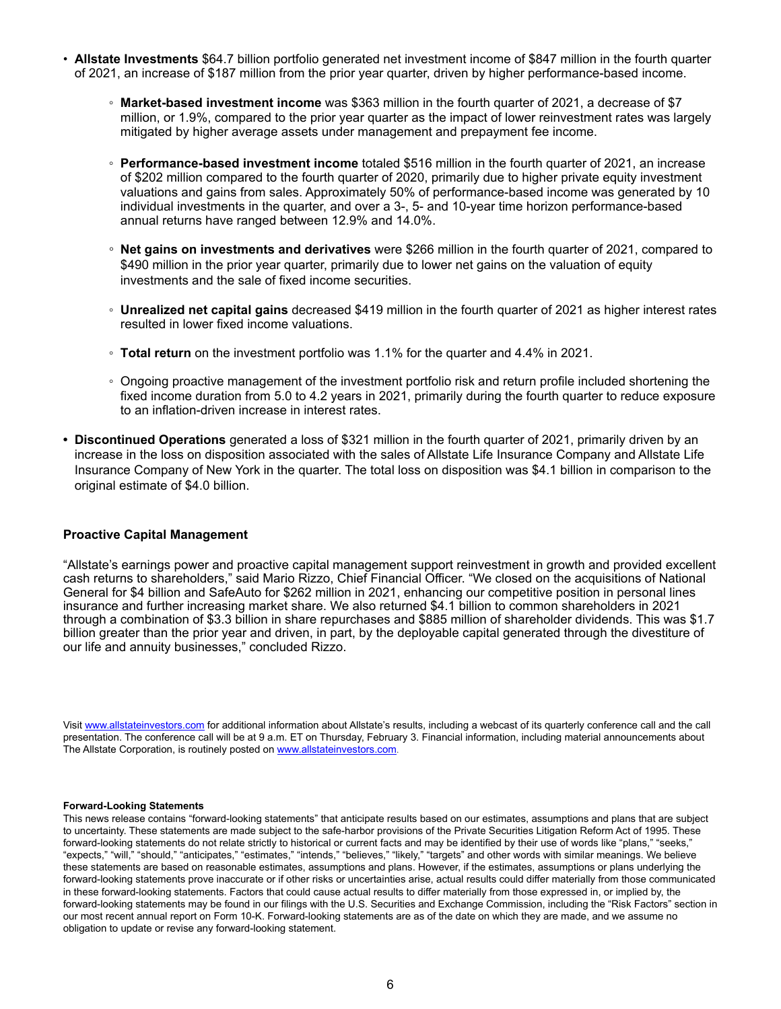- **Allstate Investments** \$64.7 billion portfolio generated net investment income of \$847 million in the fourth quarter of 2021, an increase of \$187 million from the prior year quarter, driven by higher performance-based income.
	- **Market-based investment income** was \$363 million in the fourth quarter of 2021, a decrease of \$7 million, or 1.9%, compared to the prior year quarter as the impact of lower reinvestment rates was largely mitigated by higher average assets under management and prepayment fee income.
	- **Performance-based investment income** totaled \$516 million in the fourth quarter of 2021, an increase of \$202 million compared to the fourth quarter of 2020, primarily due to higher private equity investment valuations and gains from sales. Approximately 50% of performance-based income was generated by 10 individual investments in the quarter, and over a 3-, 5- and 10-year time horizon performance-based annual returns have ranged between 12.9% and 14.0%.
	- **Net gains on investments and derivatives** were \$266 million in the fourth quarter of 2021, compared to \$490 million in the prior year quarter, primarily due to lower net gains on the valuation of equity investments and the sale of fixed income securities.
	- **Unrealized net capital gains** decreased \$419 million in the fourth quarter of 2021 as higher interest rates resulted in lower fixed income valuations.
	- **Total return** on the investment portfolio was 1.1% for the quarter and 4.4% in 2021.
	- Ongoing proactive management of the investment portfolio risk and return profile included shortening the fixed income duration from 5.0 to 4.2 years in 2021, primarily during the fourth quarter to reduce exposure to an inflation-driven increase in interest rates.
- **• Discontinued Operations** generated a loss of \$321 million in the fourth quarter of 2021, primarily driven by an increase in the loss on disposition associated with the sales of Allstate Life Insurance Company and Allstate Life Insurance Company of New York in the quarter. The total loss on disposition was \$4.1 billion in comparison to the original estimate of \$4.0 billion.

## **Proactive Capital Management**

"Allstate's earnings power and proactive capital management support reinvestment in growth and provided excellent cash returns to shareholders," said Mario Rizzo, Chief Financial Officer. "We closed on the acquisitions of National General for \$4 billion and SafeAuto for \$262 million in 2021, enhancing our competitive position in personal lines insurance and further increasing market share. We also returned \$4.1 billion to common shareholders in 2021 through a combination of \$3.3 billion in share repurchases and \$885 million of shareholder dividends. This was \$1.7 billion greater than the prior year and driven, in part, by the deployable capital generated through the divestiture of our life and annuity businesses," concluded Rizzo.

Visit www.allstateinvestors.com for additional information about Allstate's results, including a webcast of its quarterly conference call and the call presentation. The conference call will be at 9 a.m. ET on Thursday, February 3. Financial information, including material announcements about The Allstate Corporation, is routinely posted on www.allstateinvestors.com.

#### **Forward-Looking Statements**

This news release contains "forward-looking statements" that anticipate results based on our estimates, assumptions and plans that are subject to uncertainty. These statements are made subject to the safe-harbor provisions of the Private Securities Litigation Reform Act of 1995. These forward-looking statements do not relate strictly to historical or current facts and may be identified by their use of words like "plans," "seeks," "expects," "will," "should," "anticipates," "estimates," "intends," "believes," "likely," "targets" and other words with similar meanings. We believe these statements are based on reasonable estimates, assumptions and plans. However, if the estimates, assumptions or plans underlying the forward-looking statements prove inaccurate or if other risks or uncertainties arise, actual results could differ materially from those communicated in these forward-looking statements. Factors that could cause actual results to differ materially from those expressed in, or implied by, the forward-looking statements may be found in our filings with the U.S. Securities and Exchange Commission, including the "Risk Factors" section in our most recent annual report on Form 10-K. Forward-looking statements are as of the date on which they are made, and we assume no obligation to update or revise any forward-looking statement.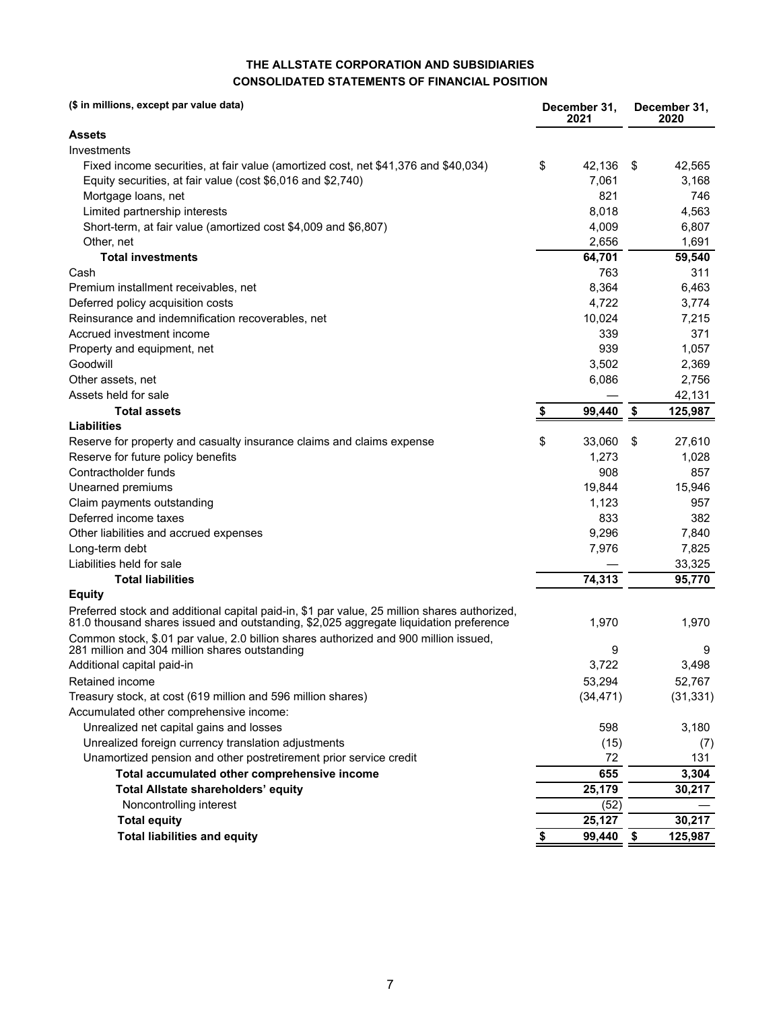## **THE ALLSTATE CORPORATION AND SUBSIDIARIES CONSOLIDATED STATEMENTS OF FINANCIAL POSITION**

| (\$ in millions, except par value data)                                                                                                                                               |    | December 31,<br>2021 | December 31,<br>2020 |           |  |
|---------------------------------------------------------------------------------------------------------------------------------------------------------------------------------------|----|----------------------|----------------------|-----------|--|
| Assets                                                                                                                                                                                |    |                      |                      |           |  |
| Investments                                                                                                                                                                           |    |                      |                      |           |  |
| Fixed income securities, at fair value (amortized cost, net \$41,376 and \$40,034)                                                                                                    | \$ | 42,136               | \$                   | 42,565    |  |
| Equity securities, at fair value (cost \$6,016 and \$2,740)                                                                                                                           |    | 7,061                |                      | 3,168     |  |
| Mortgage loans, net                                                                                                                                                                   |    | 821                  |                      | 746       |  |
| Limited partnership interests                                                                                                                                                         |    | 8,018                |                      | 4,563     |  |
| Short-term, at fair value (amortized cost \$4,009 and \$6,807)                                                                                                                        |    | 4,009                |                      | 6,807     |  |
| Other, net                                                                                                                                                                            |    | 2,656                |                      | 1,691     |  |
| <b>Total investments</b>                                                                                                                                                              |    | 64,701               |                      | 59,540    |  |
| Cash                                                                                                                                                                                  |    | 763                  |                      | 311       |  |
| Premium installment receivables, net                                                                                                                                                  |    | 8,364                |                      | 6,463     |  |
| Deferred policy acquisition costs                                                                                                                                                     |    | 4,722                |                      | 3,774     |  |
| Reinsurance and indemnification recoverables, net                                                                                                                                     |    | 10,024               |                      | 7,215     |  |
| Accrued investment income                                                                                                                                                             |    | 339                  |                      | 371       |  |
| Property and equipment, net                                                                                                                                                           |    | 939                  |                      | 1,057     |  |
| Goodwill                                                                                                                                                                              |    | 3,502                |                      | 2,369     |  |
| Other assets, net                                                                                                                                                                     |    | 6,086                |                      | 2,756     |  |
| Assets held for sale                                                                                                                                                                  |    |                      |                      | 42,131    |  |
| <b>Total assets</b>                                                                                                                                                                   | S  | 99,440               | \$                   | 125,987   |  |
| <b>Liabilities</b>                                                                                                                                                                    |    |                      |                      |           |  |
| Reserve for property and casualty insurance claims and claims expense                                                                                                                 | \$ | 33,060               | \$                   | 27,610    |  |
| Reserve for future policy benefits                                                                                                                                                    |    | 1.273                |                      | 1,028     |  |
| Contractholder funds                                                                                                                                                                  |    | 908                  |                      | 857       |  |
| Unearned premiums                                                                                                                                                                     |    | 19,844               |                      | 15,946    |  |
| Claim payments outstanding                                                                                                                                                            |    | 1,123                |                      | 957       |  |
| Deferred income taxes                                                                                                                                                                 |    | 833                  |                      | 382       |  |
| Other liabilities and accrued expenses                                                                                                                                                |    | 9,296                |                      | 7,840     |  |
| Long-term debt                                                                                                                                                                        |    | 7,976                |                      | 7,825     |  |
| Liabilities held for sale                                                                                                                                                             |    |                      |                      | 33,325    |  |
| <b>Total liabilities</b>                                                                                                                                                              |    | 74,313               |                      | 95,770    |  |
| <b>Equity</b>                                                                                                                                                                         |    |                      |                      |           |  |
| Preferred stock and additional capital paid-in, \$1 par value, 25 million shares authorized,<br>81.0 thousand shares issued and outstanding, \$2,025 aggregate liquidation preference |    | 1,970                |                      | 1,970     |  |
| Common stock, \$.01 par value, 2.0 billion shares authorized and 900 million issued,<br>281 million and 304 million shares outstanding                                                |    | 9                    |                      | 9         |  |
| Additional capital paid-in                                                                                                                                                            |    | 3,722                |                      | 3,498     |  |
| Retained income                                                                                                                                                                       |    | 53,294               |                      | 52,767    |  |
| Treasury stock, at cost (619 million and 596 million shares)                                                                                                                          |    | (34, 471)            |                      | (31, 331) |  |
| Accumulated other comprehensive income:                                                                                                                                               |    |                      |                      |           |  |
| Unrealized net capital gains and losses                                                                                                                                               |    | 598                  |                      | 3,180     |  |
| Unrealized foreign currency translation adjustments                                                                                                                                   |    | (15)                 |                      | (7)       |  |
| Unamortized pension and other postretirement prior service credit                                                                                                                     |    | 72                   |                      | 131       |  |
| Total accumulated other comprehensive income                                                                                                                                          |    | 655                  |                      | 3,304     |  |
| Total Allstate shareholders' equity                                                                                                                                                   |    | 25,179               |                      | 30,217    |  |
| Noncontrolling interest                                                                                                                                                               |    | (52)                 |                      |           |  |
| <b>Total equity</b>                                                                                                                                                                   |    | 25,127               |                      | 30,217    |  |
| <b>Total liabilities and equity</b>                                                                                                                                                   | \$ | 99,440               | \$                   | 125,987   |  |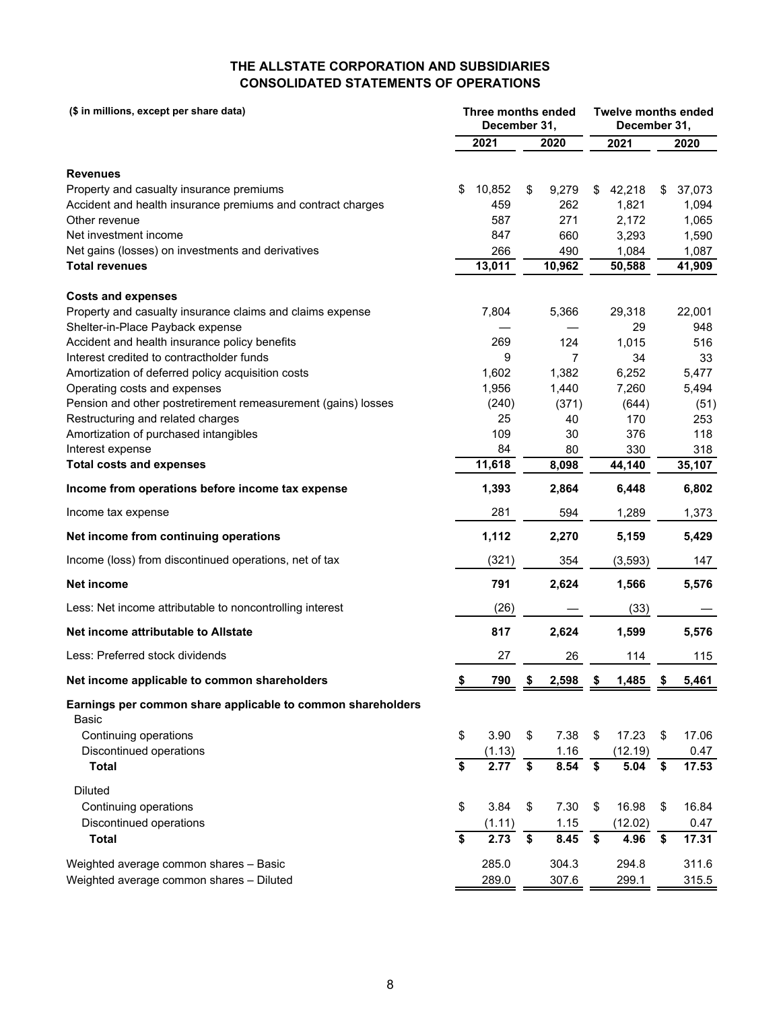# **THE ALLSTATE CORPORATION AND SUBSIDIARIES CONSOLIDATED STATEMENTS OF OPERATIONS**

| (\$ in millions, except per share data)                       | Three months ended<br>December 31, |            |    |            | <b>Twelve months ended</b><br>December 31, |          |    |        |
|---------------------------------------------------------------|------------------------------------|------------|----|------------|--------------------------------------------|----------|----|--------|
|                                                               |                                    | 2021       |    | 2020       |                                            | 2021     |    | 2020   |
|                                                               |                                    |            |    |            |                                            |          |    |        |
| <b>Revenues</b>                                               |                                    |            |    |            |                                            |          |    |        |
| Property and casualty insurance premiums                      | \$                                 | 10,852     | \$ | 9,279      | \$                                         | 42,218   | \$ | 37,073 |
| Accident and health insurance premiums and contract charges   |                                    | 459<br>587 |    | 262        |                                            | 1,821    |    | 1,094  |
| Other revenue<br>Net investment income                        |                                    | 847        |    | 271        |                                            | 2,172    |    | 1,065  |
| Net gains (losses) on investments and derivatives             |                                    | 266        |    | 660<br>490 |                                            | 3,293    |    | 1,590  |
| <b>Total revenues</b>                                         |                                    | 13,011     |    | 10,962     |                                            | 1,084    |    | 1,087  |
|                                                               |                                    |            |    |            |                                            | 50,588   |    | 41,909 |
| <b>Costs and expenses</b>                                     |                                    |            |    |            |                                            |          |    |        |
| Property and casualty insurance claims and claims expense     |                                    | 7,804      |    | 5,366      |                                            | 29,318   |    | 22,001 |
| Shelter-in-Place Payback expense                              |                                    |            |    |            |                                            | 29       |    | 948    |
| Accident and health insurance policy benefits                 |                                    | 269        |    | 124        |                                            | 1,015    |    | 516    |
| Interest credited to contractholder funds                     |                                    | 9          |    | 7          |                                            | 34       |    | 33     |
| Amortization of deferred policy acquisition costs             |                                    | 1,602      |    | 1,382      |                                            | 6,252    |    | 5,477  |
| Operating costs and expenses                                  |                                    | 1,956      |    | 1,440      |                                            | 7,260    |    | 5,494  |
| Pension and other postretirement remeasurement (gains) losses |                                    | (240)      |    | (371)      |                                            | (644)    |    | (51)   |
| Restructuring and related charges                             |                                    | 25         |    | 40         |                                            | 170      |    | 253    |
| Amortization of purchased intangibles                         |                                    | 109        |    | 30         |                                            | 376      |    | 118    |
| Interest expense                                              |                                    | 84         |    | 80         |                                            | 330      |    | 318    |
| <b>Total costs and expenses</b>                               |                                    | 11,618     |    | 8,098      |                                            | 44,140   |    | 35,107 |
| Income from operations before income tax expense              |                                    | 1,393      |    | 2,864      |                                            | 6,448    |    | 6,802  |
| Income tax expense                                            |                                    | 281        |    | 594        |                                            | 1,289    |    | 1,373  |
| Net income from continuing operations                         |                                    | 1,112      |    | 2,270      |                                            | 5,159    |    | 5,429  |
| Income (loss) from discontinued operations, net of tax        |                                    | (321)      |    | 354        |                                            | (3, 593) |    | 147    |
| Net income                                                    |                                    | 791        |    | 2,624      |                                            | 1,566    |    | 5,576  |
| Less: Net income attributable to noncontrolling interest      |                                    | (26)       |    |            |                                            | (33)     |    |        |
| Net income attributable to Allstate                           |                                    | 817        |    | 2,624      |                                            | 1,599    |    | 5,576  |
| Less: Preferred stock dividends                               |                                    | 27         |    | 26         |                                            | 114      |    | 115    |
| Net income applicable to common shareholders                  |                                    | 790        |    | 2,598      |                                            | 1,485    |    | 5,461  |
| Earnings per common share applicable to common shareholders   |                                    |            |    |            |                                            |          |    |        |
| Basic                                                         |                                    |            |    |            |                                            |          |    |        |
| Continuing operations                                         | \$                                 | 3.90       | \$ | 7.38       | \$                                         | 17.23    | \$ | 17.06  |
| Discontinued operations                                       |                                    | (1.13)     |    | 1.16       |                                            | (12.19)  |    | 0.47   |
| <b>Total</b>                                                  | \$                                 | 2.77       | \$ | 8.54       | \$                                         | 5.04     | \$ | 17.53  |
| Diluted                                                       |                                    |            |    |            |                                            |          |    |        |
| Continuing operations                                         | \$                                 | 3.84       | \$ | 7.30       | \$                                         | 16.98    | \$ | 16.84  |
| Discontinued operations                                       |                                    | (1.11)     |    | 1.15       |                                            | (12.02)  |    | 0.47   |
| <b>Total</b>                                                  | \$                                 | 2.73       | \$ | 8.45       | \$                                         | 4.96     | \$ | 17.31  |
| Weighted average common shares - Basic                        |                                    | 285.0      |    | 304.3      |                                            | 294.8    |    | 311.6  |
| Weighted average common shares - Diluted                      |                                    | 289.0      |    | 307.6      |                                            | 299.1    |    | 315.5  |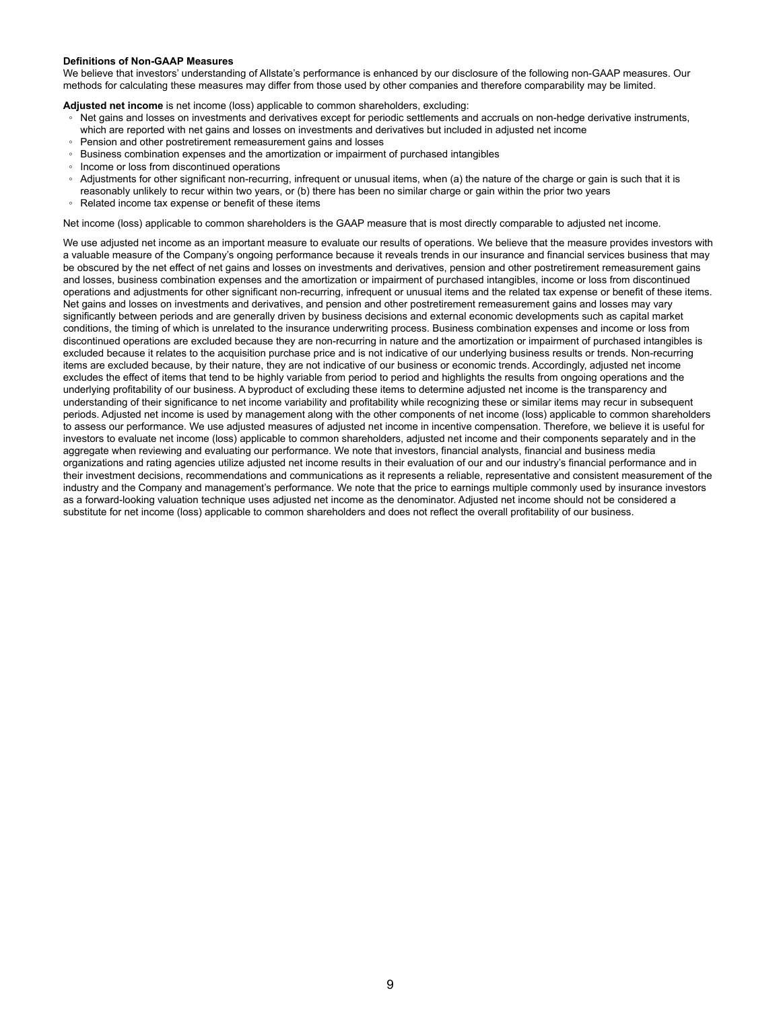#### **Definitions of Non-GAAP Measures**

We believe that investors' understanding of Allstate's performance is enhanced by our disclosure of the following non-GAAP measures. Our methods for calculating these measures may differ from those used by other companies and therefore comparability may be limited.

**Adjusted net income** is net income (loss) applicable to common shareholders, excluding:

- Net gains and losses on investments and derivatives except for periodic settlements and accruals on non-hedge derivative instruments,
- which are reported with net gains and losses on investments and derivatives but included in adjusted net income
- Pension and other postretirement remeasurement gains and losses Business combination expenses and the amortization or impairment of purchased intangibles
- Income or loss from discontinued operations
- Adjustments for other significant non-recurring, infrequent or unusual items, when (a) the nature of the charge or gain is such that it is
- reasonably unlikely to recur within two years, or (b) there has been no similar charge or gain within the prior two years
- Related income tax expense or benefit of these items

Net income (loss) applicable to common shareholders is the GAAP measure that is most directly comparable to adjusted net income.

We use adjusted net income as an important measure to evaluate our results of operations. We believe that the measure provides investors with a valuable measure of the Company's ongoing performance because it reveals trends in our insurance and financial services business that may be obscured by the net effect of net gains and losses on investments and derivatives, pension and other postretirement remeasurement gains and losses, business combination expenses and the amortization or impairment of purchased intangibles, income or loss from discontinued operations and adjustments for other significant non-recurring, infrequent or unusual items and the related tax expense or benefit of these items. Net gains and losses on investments and derivatives, and pension and other postretirement remeasurement gains and losses may vary significantly between periods and are generally driven by business decisions and external economic developments such as capital market conditions, the timing of which is unrelated to the insurance underwriting process. Business combination expenses and income or loss from discontinued operations are excluded because they are non-recurring in nature and the amortization or impairment of purchased intangibles is excluded because it relates to the acquisition purchase price and is not indicative of our underlying business results or trends. Non-recurring items are excluded because, by their nature, they are not indicative of our business or economic trends. Accordingly, adjusted net income excludes the effect of items that tend to be highly variable from period to period and highlights the results from ongoing operations and the underlying profitability of our business. A byproduct of excluding these items to determine adjusted net income is the transparency and understanding of their significance to net income variability and profitability while recognizing these or similar items may recur in subsequent periods. Adjusted net income is used by management along with the other components of net income (loss) applicable to common shareholders to assess our performance. We use adjusted measures of adjusted net income in incentive compensation. Therefore, we believe it is useful for investors to evaluate net income (loss) applicable to common shareholders, adjusted net income and their components separately and in the aggregate when reviewing and evaluating our performance. We note that investors, financial analysts, financial and business media organizations and rating agencies utilize adjusted net income results in their evaluation of our and our industry's financial performance and in their investment decisions, recommendations and communications as it represents a reliable, representative and consistent measurement of the industry and the Company and management's performance. We note that the price to earnings multiple commonly used by insurance investors as a forward-looking valuation technique uses adjusted net income as the denominator. Adjusted net income should not be considered a substitute for net income (loss) applicable to common shareholders and does not reflect the overall profitability of our business.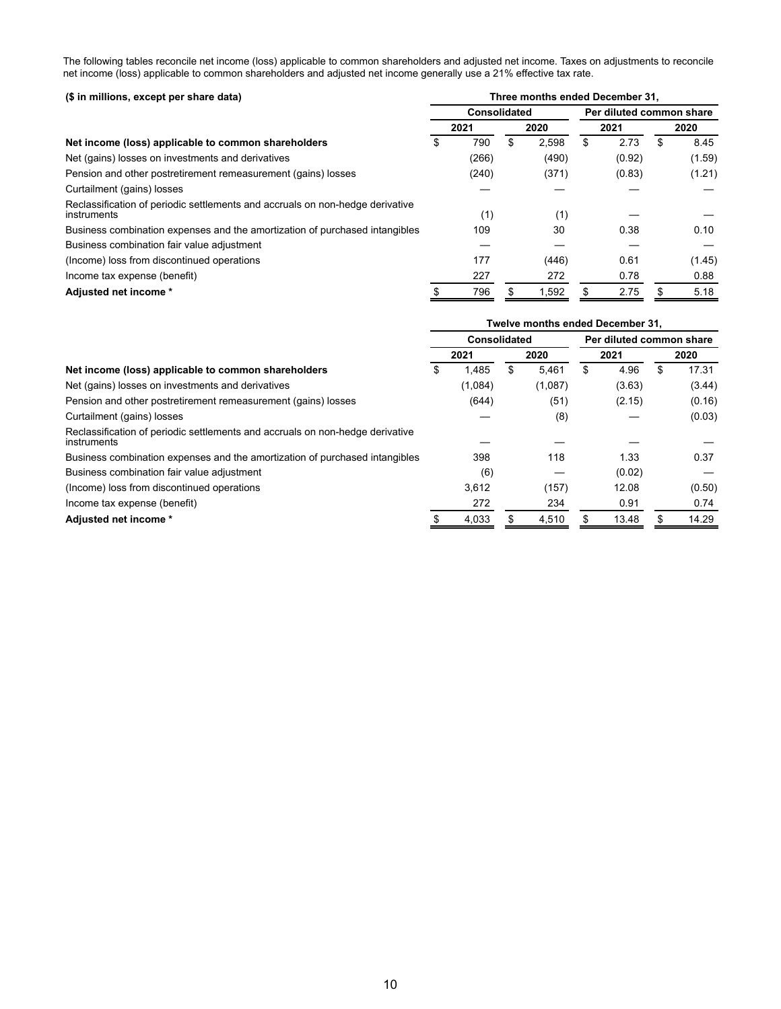The following tables reconcile net income (loss) applicable to common shareholders and adjusted net income. Taxes on adjustments to reconcile net income (loss) applicable to common shareholders and adjusted net income generally use a 21% effective tax rate.

| (\$ in millions, except per share data)                                                      | Three months ended December 31. |       |   |       |                          |        |   |        |  |  |  |
|----------------------------------------------------------------------------------------------|---------------------------------|-------|---|-------|--------------------------|--------|---|--------|--|--|--|
|                                                                                              | Consolidated                    |       |   |       | Per diluted common share |        |   |        |  |  |  |
|                                                                                              |                                 | 2021  |   | 2020  |                          | 2021   |   | 2020   |  |  |  |
| Net income (loss) applicable to common shareholders                                          | S                               | 790   | S | 2.598 | S                        | 2.73   | S | 8.45   |  |  |  |
| Net (gains) losses on investments and derivatives                                            |                                 | (266) |   | (490) |                          | (0.92) |   | (1.59) |  |  |  |
| Pension and other postretirement remeasurement (gains) losses                                |                                 | (240) |   | (371) |                          | (0.83) |   | (1.21) |  |  |  |
| Curtailment (gains) losses                                                                   |                                 |       |   |       |                          |        |   |        |  |  |  |
| Reclassification of periodic settlements and accruals on non-hedge derivative<br>instruments |                                 | (1)   |   | (1)   |                          |        |   |        |  |  |  |
| Business combination expenses and the amortization of purchased intangibles                  |                                 | 109   |   | 30    |                          | 0.38   |   | 0.10   |  |  |  |
| Business combination fair value adjustment                                                   |                                 |       |   |       |                          |        |   |        |  |  |  |
| (Income) loss from discontinued operations                                                   |                                 | 177   |   | (446) |                          | 0.61   |   | (1.45) |  |  |  |
| Income tax expense (benefit)                                                                 |                                 | 227   |   | 272   |                          | 0.78   |   | 0.88   |  |  |  |
| Adjusted net income *                                                                        |                                 | 796   |   | 1,592 |                          | 2.75   | S | 5.18   |  |  |  |

|                                                                                              |                     |   | Twelve months ended December 31, |            |                          |        |
|----------------------------------------------------------------------------------------------|---------------------|---|----------------------------------|------------|--------------------------|--------|
|                                                                                              | <b>Consolidated</b> |   |                                  |            | Per diluted common share |        |
|                                                                                              | 2021                |   | 2020                             | 2021       |                          | 2020   |
| Net income (loss) applicable to common shareholders                                          | \$<br>1.485         | S | 5.461                            | \$<br>4.96 | \$                       | 17.31  |
| Net (gains) losses on investments and derivatives                                            | (1,084)             |   | (1,087)                          | (3.63)     |                          | (3.44) |
| Pension and other postretirement remeasurement (gains) losses                                | (644)               |   | (51)                             | (2.15)     |                          | (0.16) |
| Curtailment (gains) losses                                                                   |                     |   | (8)                              |            |                          | (0.03) |
| Reclassification of periodic settlements and accruals on non-hedge derivative<br>instruments |                     |   |                                  |            |                          |        |
| Business combination expenses and the amortization of purchased intangibles                  | 398                 |   | 118                              | 1.33       |                          | 0.37   |
| Business combination fair value adjustment                                                   | (6)                 |   |                                  | (0.02)     |                          |        |
| (Income) loss from discontinued operations                                                   | 3,612               |   | (157)                            | 12.08      |                          | (0.50) |
| Income tax expense (benefit)                                                                 | 272                 |   | 234                              | 0.91       |                          | 0.74   |
| Adjusted net income *                                                                        | 4,033               |   | 4,510                            | 13.48      |                          | 14.29  |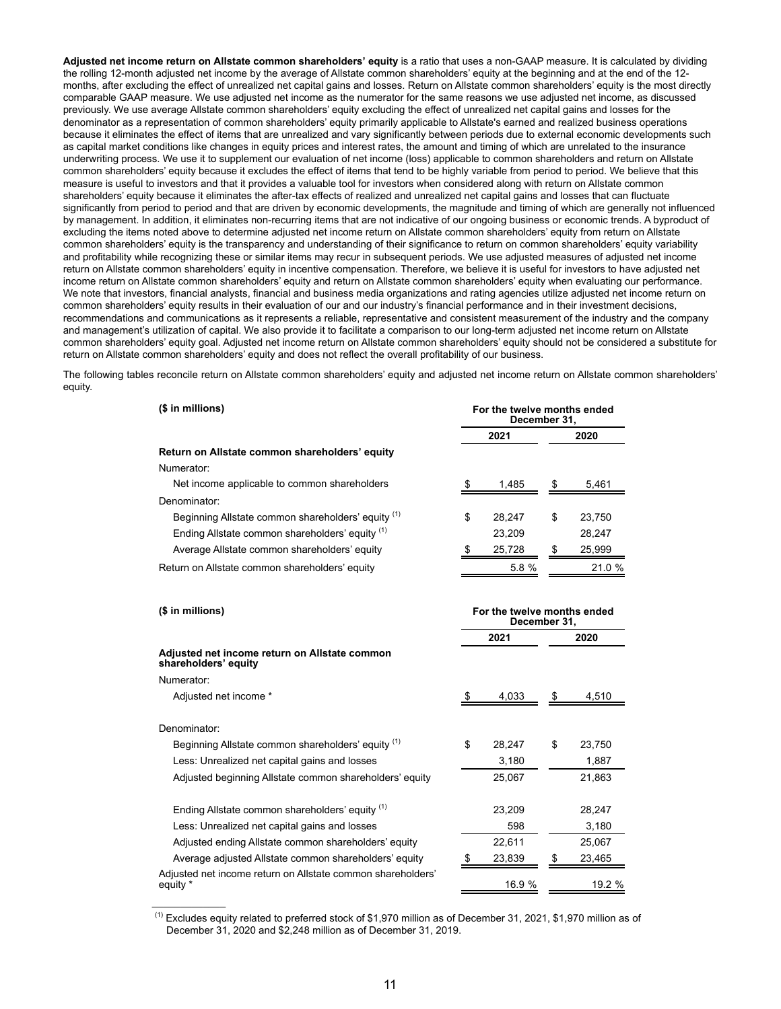**Adjusted net income return on Allstate common shareholders' equity** is a ratio that uses a non-GAAP measure. It is calculated by dividing the rolling 12-month adjusted net income by the average of Allstate common shareholders' equity at the beginning and at the end of the 12 months, after excluding the effect of unrealized net capital gains and losses. Return on Allstate common shareholders' equity is the most directly comparable GAAP measure. We use adjusted net income as the numerator for the same reasons we use adjusted net income, as discussed previously. We use average Allstate common shareholders' equity excluding the effect of unrealized net capital gains and losses for the denominator as a representation of common shareholders' equity primarily applicable to Allstate's earned and realized business operations because it eliminates the effect of items that are unrealized and vary significantly between periods due to external economic developments such as capital market conditions like changes in equity prices and interest rates, the amount and timing of which are unrelated to the insurance underwriting process. We use it to supplement our evaluation of net income (loss) applicable to common shareholders and return on Allstate common shareholders' equity because it excludes the effect of items that tend to be highly variable from period to period. We believe that this measure is useful to investors and that it provides a valuable tool for investors when considered along with return on Allstate common shareholders' equity because it eliminates the after-tax effects of realized and unrealized net capital gains and losses that can fluctuate significantly from period to period and that are driven by economic developments, the magnitude and timing of which are generally not influenced by management. In addition, it eliminates non-recurring items that are not indicative of our ongoing business or economic trends. A byproduct of excluding the items noted above to determine adjusted net income return on Allstate common shareholders' equity from return on Allstate common shareholders' equity is the transparency and understanding of their significance to return on common shareholders' equity variability and profitability while recognizing these or similar items may recur in subsequent periods. We use adjusted measures of adjusted net income return on Allstate common shareholders' equity in incentive compensation. Therefore, we believe it is useful for investors to have adjusted net income return on Allstate common shareholders' equity and return on Allstate common shareholders' equity when evaluating our performance. We note that investors, financial analysts, financial and business media organizations and rating agencies utilize adjusted net income return on common shareholders' equity results in their evaluation of our and our industry's financial performance and in their investment decisions, recommendations and communications as it represents a reliable, representative and consistent measurement of the industry and the company and management's utilization of capital. We also provide it to facilitate a comparison to our long-term adjusted net income return on Allstate common shareholders' equity goal. Adjusted net income return on Allstate common shareholders' equity should not be considered a substitute for return on Allstate common shareholders' equity and does not reflect the overall profitability of our business.

The following tables reconcile return on Allstate common shareholders' equity and adjusted net income return on Allstate common shareholders' equity.

| (\$ in millions)                                   | For the twelve months ended<br>December 31, |    |        |  |  |  |  |
|----------------------------------------------------|---------------------------------------------|----|--------|--|--|--|--|
|                                                    | 2021                                        |    | 2020   |  |  |  |  |
| Return on Allstate common shareholders' equity     |                                             |    |        |  |  |  |  |
| Numerator:                                         |                                             |    |        |  |  |  |  |
| Net income applicable to common shareholders       | 1,485                                       |    | 5,461  |  |  |  |  |
| Denominator:                                       |                                             |    |        |  |  |  |  |
| Beginning Allstate common shareholders' equity (1) | \$<br>28.247                                | \$ | 23.750 |  |  |  |  |
| Ending Allstate common shareholders' equity (1)    | 23,209                                      |    | 28,247 |  |  |  |  |
| Average Allstate common shareholders' equity       | 25.728                                      |    | 25,999 |  |  |  |  |
| Return on Allstate common shareholders' equity     | 5.8 %                                       |    | 21.0 % |  |  |  |  |

| $($$ in millions)                                                       |    | For the twelve months ended<br>December 31, |    |        |  |
|-------------------------------------------------------------------------|----|---------------------------------------------|----|--------|--|
|                                                                         |    | 2021                                        |    | 2020   |  |
| Adjusted net income return on Allstate common<br>shareholders' equity   |    |                                             |    |        |  |
| Numerator:                                                              |    |                                             |    |        |  |
| Adjusted net income *                                                   |    | 4,033                                       |    | 4,510  |  |
| Denominator:                                                            |    |                                             |    |        |  |
| Beginning Allstate common shareholders' equity (1)                      | \$ | 28,247                                      | \$ | 23,750 |  |
| Less: Unrealized net capital gains and losses                           |    | 3,180                                       |    | 1,887  |  |
| Adjusted beginning Allstate common shareholders' equity                 |    | 25,067                                      |    | 21,863 |  |
| Ending Allstate common shareholders' equity (1)                         |    | 23,209                                      |    | 28,247 |  |
| Less: Unrealized net capital gains and losses                           |    | 598                                         |    | 3,180  |  |
| Adjusted ending Allstate common shareholders' equity                    |    | 22,611                                      |    | 25,067 |  |
| Average adjusted Allstate common shareholders' equity                   |    | 23,839                                      |    | 23,465 |  |
| Adjusted net income return on Allstate common shareholders'<br>equity * |    | 16.9 %                                      |    | 19.2 % |  |

 $<sup>(1)</sup>$  Excludes equity related to preferred stock of \$1,970 million as of December 31, 2021, \$1,970 million as of</sup> December 31, 2020 and \$2,248 million as of December 31, 2019.

 $\mathcal{L}_\text{max}$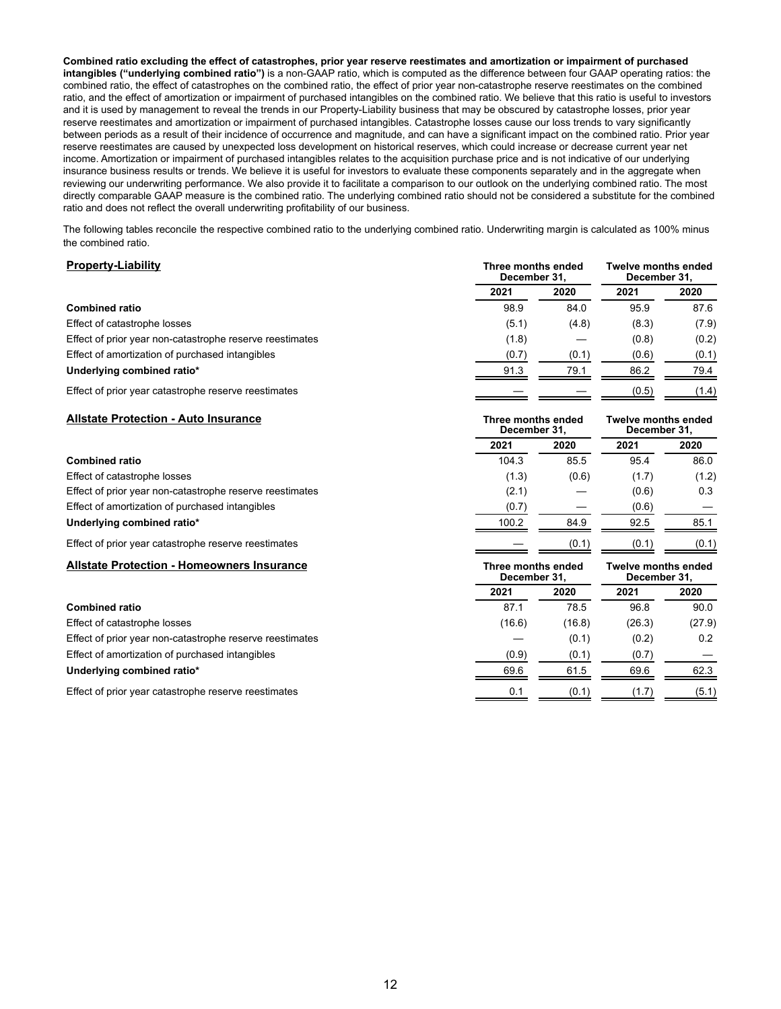**Combined ratio excluding the effect of catastrophes, prior year reserve reestimates and amortization or impairment of purchased intangibles ("underlying combined ratio")** is a non-GAAP ratio, which is computed as the difference between four GAAP operating ratios: the combined ratio, the effect of catastrophes on the combined ratio, the effect of prior year non-catastrophe reserve reestimates on the combined ratio, and the effect of amortization or impairment of purchased intangibles on the combined ratio. We believe that this ratio is useful to investors and it is used by management to reveal the trends in our Property-Liability business that may be obscured by catastrophe losses, prior year reserve reestimates and amortization or impairment of purchased intangibles. Catastrophe losses cause our loss trends to vary significantly between periods as a result of their incidence of occurrence and magnitude, and can have a significant impact on the combined ratio. Prior year reserve reestimates are caused by unexpected loss development on historical reserves, which could increase or decrease current year net income. Amortization or impairment of purchased intangibles relates to the acquisition purchase price and is not indicative of our underlying insurance business results or trends. We believe it is useful for investors to evaluate these components separately and in the aggregate when reviewing our underwriting performance. We also provide it to facilitate a comparison to our outlook on the underlying combined ratio. The most directly comparable GAAP measure is the combined ratio. The underlying combined ratio should not be considered a substitute for the combined ratio and does not reflect the overall underwriting profitability of our business.

The following tables reconcile the respective combined ratio to the underlying combined ratio. Underwriting margin is calculated as 100% minus the combined ratio.

### **Property-Liability Three months ended**

| <b>Property-Liability</b>                                |       | Three months ended<br>December 31. | <b>Twelve months ended</b><br>December 31. |       |  |
|----------------------------------------------------------|-------|------------------------------------|--------------------------------------------|-------|--|
|                                                          | 2021  | 2020                               | 2021                                       | 2020  |  |
| <b>Combined ratio</b>                                    | 98.9  | 84.0                               | 95.9                                       | 87.6  |  |
| Effect of catastrophe losses                             | (5.1) | (4.8)                              | (8.3)                                      | (7.9) |  |
| Effect of prior year non-catastrophe reserve reestimates | (1.8) |                                    | (0.8)                                      | (0.2) |  |
| Effect of amortization of purchased intangibles          | (0.7) | (0.1)                              | (0.6)                                      | (0.1) |  |
| Underlying combined ratio*                               | 91.3  | 79.1                               | 86.2                                       | 79.4  |  |
| Effect of prior year catastrophe reserve reestimates     |       |                                    | (0.5)                                      | (1.4) |  |

| <b>Allstate Protection - Auto Insurance</b>              | Three months ended<br>December 31, |        | <b>Twelve months ended</b><br>December 31, |        |
|----------------------------------------------------------|------------------------------------|--------|--------------------------------------------|--------|
|                                                          | 2021                               | 2020   | 2021                                       | 2020   |
| <b>Combined ratio</b>                                    | 104.3                              | 85.5   | 95.4                                       | 86.0   |
| Effect of catastrophe losses                             | (1.3)                              | (0.6)  | (1.7)                                      | (1.2)  |
| Effect of prior year non-catastrophe reserve reestimates | (2.1)                              |        | (0.6)                                      | 0.3    |
| Effect of amortization of purchased intangibles          | (0.7)                              |        | (0.6)                                      |        |
| Underlying combined ratio*                               | 100.2                              | 84.9   | 92.5                                       | 85.1   |
| Effect of prior year catastrophe reserve reestimates     |                                    | (0.1)  | (0.1)                                      | (0.1)  |
| <b>Allstate Protection - Homeowners Insurance</b>        | Three months ended<br>December 31, |        | <b>Twelve months ended</b><br>December 31, |        |
|                                                          |                                    |        |                                            |        |
|                                                          | 2021                               | 2020   | 2021                                       | 2020   |
| <b>Combined ratio</b>                                    | 87.1                               | 78.5   | 96.8                                       | 90.0   |
| Effect of catastrophe losses                             | (16.6)                             | (16.8) | (26.3)                                     | (27.9) |
| Effect of prior year non-catastrophe reserve reestimates |                                    | (0.1)  | (0.2)                                      | 0.2    |
| Effect of amortization of purchased intangibles          | (0.9)                              | (0.1)  | (0.7)                                      |        |
| Underlying combined ratio*                               | 69.6                               | 61.5   | 69.6                                       | 62.3   |